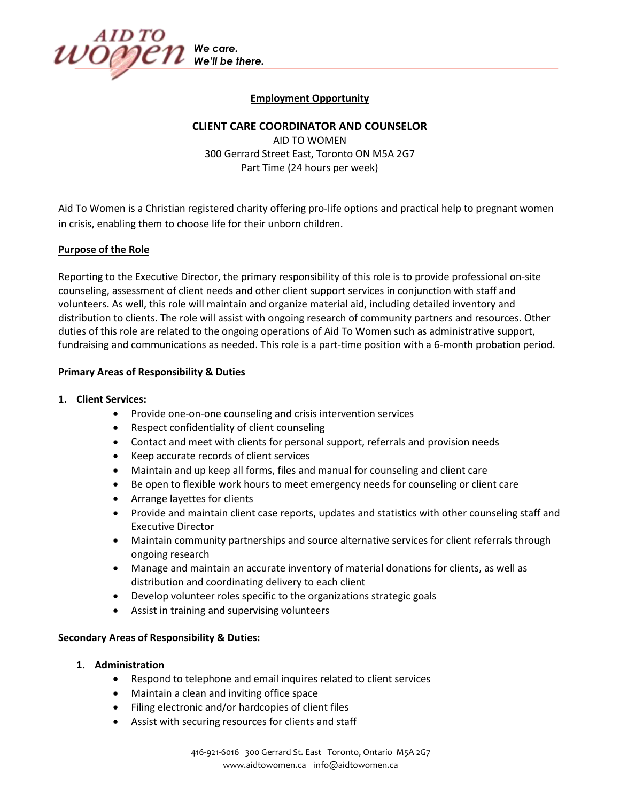

# **Employment Opportunity**

## **CLIENT CARE COORDINATOR AND COUNSELOR**

AID TO WOMEN 300 Gerrard Street East, Toronto ON M5A 2G7 Part Time (24 hours per week)

Aid To Women is a Christian registered charity offering pro-life options and practical help to pregnant women in crisis, enabling them to choose life for their unborn children.

#### **Purpose of the Role**

Reporting to the Executive Director, the primary responsibility of this role is to provide professional on-site counseling, assessment of client needs and other client support services in conjunction with staff and volunteers. As well, this role will maintain and organize material aid, including detailed inventory and distribution to clients. The role will assist with ongoing research of community partners and resources. Other duties of this role are related to the ongoing operations of Aid To Women such as administrative support, fundraising and communications as needed. This role is a part-time position with a 6-month probation period.

#### **Primary Areas of Responsibility & Duties**

#### **1. Client Services:**

- Provide one-on-one counseling and crisis intervention services
- Respect confidentiality of client counseling
- Contact and meet with clients for personal support, referrals and provision needs
- Keep accurate records of client services
- Maintain and up keep all forms, files and manual for counseling and client care
- Be open to flexible work hours to meet emergency needs for counseling or client care
- Arrange layettes for clients
- Provide and maintain client case reports, updates and statistics with other counseling staff and Executive Director
- Maintain community partnerships and source alternative services for client referrals through ongoing research
- Manage and maintain an accurate inventory of material donations for clients, as well as distribution and coordinating delivery to each client
- Develop volunteer roles specific to the organizations strategic goals
- Assist in training and supervising volunteers

## **Secondary Areas of Responsibility & Duties:**

- **1. Administration**
	- Respond to telephone and email inquires related to client services
	- Maintain a clean and inviting office space
	- Filing electronic and/or hardcopies of client files
	- Assist with securing resources for clients and staff